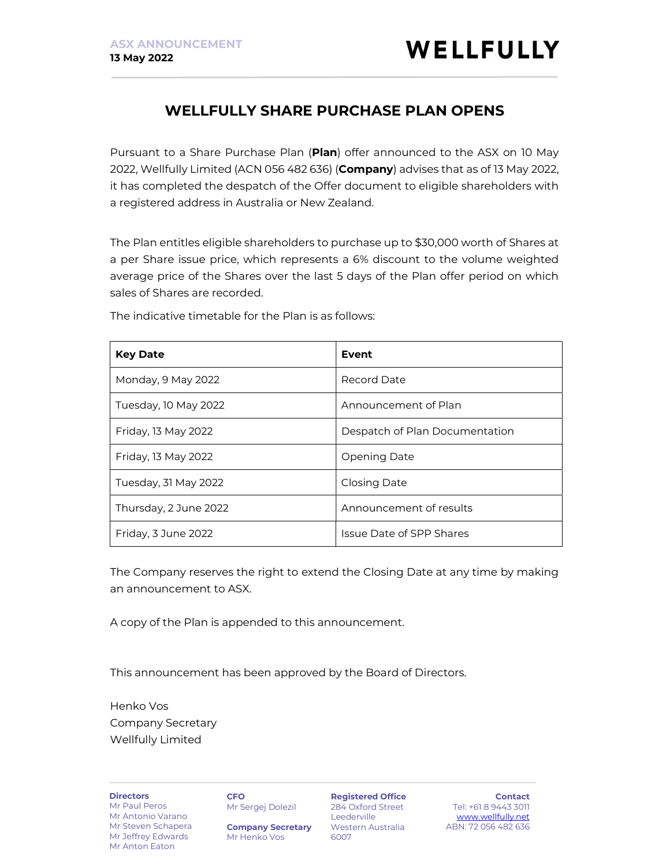# WELLFULLY SHARE PURCHASE PLAN OPENS

Pursuant to a Share Purchase Plan (Plan) offer announced to the ASX on 10 May 2022, Wellfully Limited (ACN 056 482 636) (Company) advises that as of 13 May 2022, it has completed the despatch of the Offer document to eligible shareholders with a registered address in Australia or New Zealand.

The Plan entitles eligible shareholders to purchase up to \$30,000 worth of Shares at a per Share issue price, which represents a 6% discount to the volume weighted average price of the Shares over the last 5 days of the Plan offer period on which sales of Shares are recorded.

| <b>Key Date</b>       | <b>Event</b>                    |
|-----------------------|---------------------------------|
| Monday, 9 May 2022    | Record Date                     |
| Tuesday, 10 May 2022  | Announcement of Plan            |
| Friday, 13 May 2022   | Despatch of Plan Documentation  |
| Friday, 13 May 2022   | Opening Date                    |
| Tuesday, 31 May 2022  | Closing Date                    |
| Thursday, 2 June 2022 | Announcement of results         |
| Friday, 3 June 2022   | <b>Issue Date of SPP Shares</b> |

The indicative timetable for the Plan is as follows:

The Company reserves the right to extend the Closing Date at any time by making an announcement to ASX.

A copy of the Plan is appended to this announcement.

This announcement has been approved by the Board of Directors.

Henko Vos Company Secretary Wellfully Limited

**Directors** Mr Paul Peros

Mr Antonio Varano Mr Steven Schapera Mr Jeffrey Edwards Mr Anton Eaton

**CFO** Mr Sergej Dolezil

Company Secretary Mr Henko Vos

Registered Office 284 Oxford Street Leederville Western Australia 6007

Contact Tel: +61 8 9443 3011 www.wellfully.net ABN: 72 056 482 636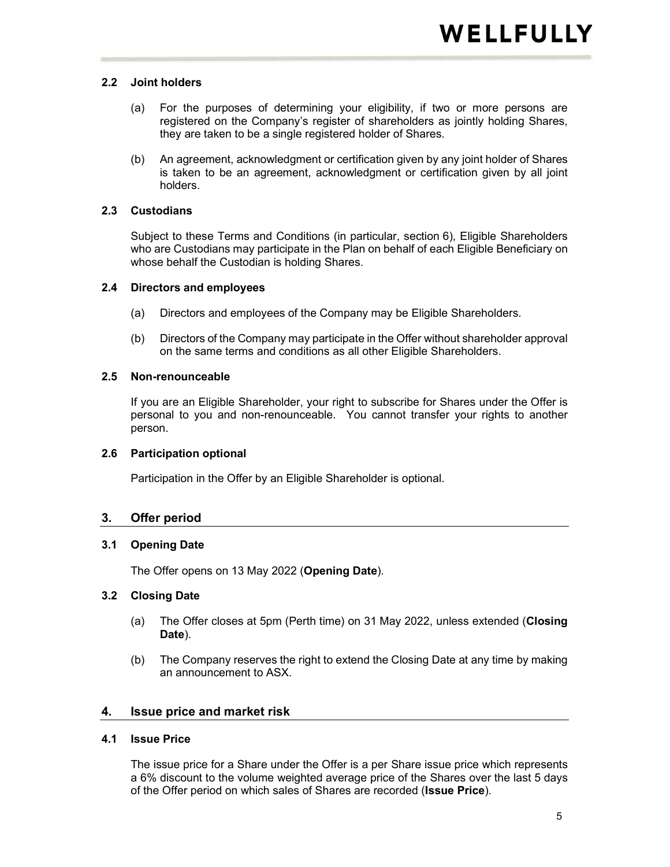#### 2.2 Joint holders

- (a) For the purposes of determining your eligibility, if two or more persons are registered on the Company's register of shareholders as jointly holding Shares, they are taken to be a single registered holder of Shares.
- (b) An agreement, acknowledgment or certification given by any joint holder of Shares is taken to be an agreement, acknowledgment or certification given by all joint holders.

### 2.3 Custodians

Subject to these Terms and Conditions (in particular, section 6), Eligible Shareholders who are Custodians may participate in the Plan on behalf of each Eligible Beneficiary on whose behalf the Custodian is holding Shares.

#### 2.4 Directors and employees

- (a) Directors and employees of the Company may be Eligible Shareholders.
- (b) Directors of the Company may participate in the Offer without shareholder approval on the same terms and conditions as all other Eligible Shareholders.

### 2.5 Non-renounceable

If you are an Eligible Shareholder, your right to subscribe for Shares under the Offer is personal to you and non-renounceable. You cannot transfer your rights to another person.

#### 2.6 Participation optional

Participation in the Offer by an Eligible Shareholder is optional.

## 3. Offer period

## 3.1 Opening Date

The Offer opens on 13 May 2022 (Opening Date).

#### 3.2 Closing Date

- (a) The Offer closes at 5pm (Perth time) on 31 May 2022, unless extended (Closing Date).
- (b) The Company reserves the right to extend the Closing Date at any time by making an announcement to ASX.

## 4. Issue price and market risk

#### 4.1 Issue Price

The issue price for a Share under the Offer is a per Share issue price which represents a 6% discount to the volume weighted average price of the Shares over the last 5 days of the Offer period on which sales of Shares are recorded (Issue Price).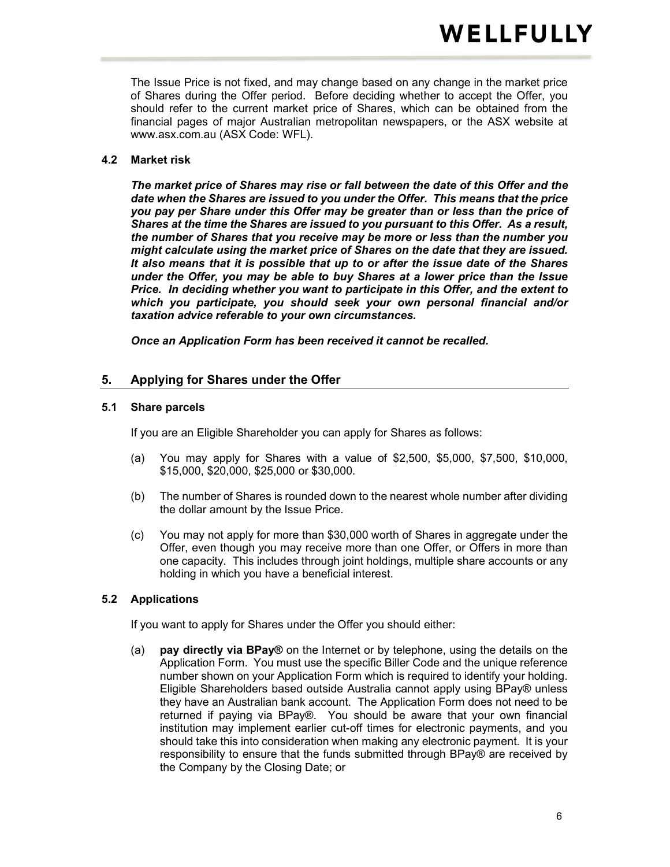The Issue Price is not fixed, and may change based on any change in the market price of Shares during the Offer period. Before deciding whether to accept the Offer, you should refer to the current market price of Shares, which can be obtained from the financial pages of major Australian metropolitan newspapers, or the ASX website at www.asx.com.au (ASX Code: WFL).

#### 4.2 Market risk

The market price of Shares may rise or fall between the date of this Offer and the date when the Shares are issued to you under the Offer. This means that the price you pay per Share under this Offer may be greater than or less than the price of Shares at the time the Shares are issued to you pursuant to this Offer. As a result, the number of Shares that you receive may be more or less than the number you might calculate using the market price of Shares on the date that they are issued. It also means that it is possible that up to or after the issue date of the Shares under the Offer, you may be able to buy Shares at a lower price than the Issue Price. In deciding whether you want to participate in this Offer, and the extent to which you participate, you should seek your own personal financial and/or taxation advice referable to your own circumstances.

Once an Application Form has been received it cannot be recalled.

## 5. Applying for Shares under the Offer

#### 5.1 Share parcels

If you are an Eligible Shareholder you can apply for Shares as follows:

- (a) You may apply for Shares with a value of \$2,500, \$5,000, \$7,500, \$10,000, \$15,000, \$20,000, \$25,000 or \$30,000.
- (b) The number of Shares is rounded down to the nearest whole number after dividing the dollar amount by the Issue Price.
- (c) You may not apply for more than \$30,000 worth of Shares in aggregate under the Offer, even though you may receive more than one Offer, or Offers in more than one capacity. This includes through joint holdings, multiple share accounts or any holding in which you have a beneficial interest.

#### 5.2 Applications

If you want to apply for Shares under the Offer you should either:

(a) pay directly via BPay® on the Internet or by telephone, using the details on the Application Form. You must use the specific Biller Code and the unique reference number shown on your Application Form which is required to identify your holding. Eligible Shareholders based outside Australia cannot apply using BPay® unless they have an Australian bank account. The Application Form does not need to be returned if paying via BPay®. You should be aware that your own financial institution may implement earlier cut-off times for electronic payments, and you should take this into consideration when making any electronic payment. It is your responsibility to ensure that the funds submitted through BPay® are received by the Company by the Closing Date; or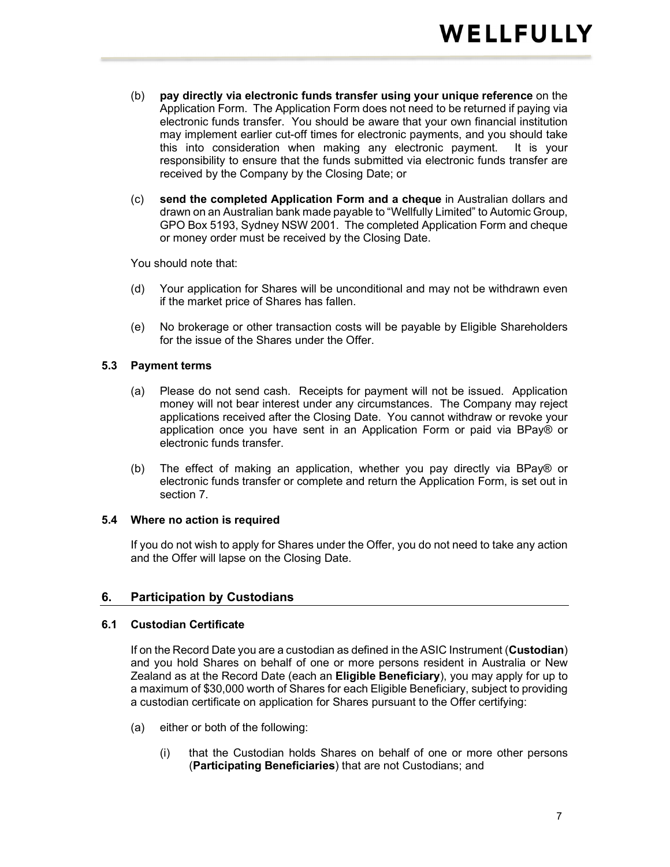- (b) pay directly via electronic funds transfer using your unique reference on the Application Form. The Application Form does not need to be returned if paying via electronic funds transfer. You should be aware that your own financial institution may implement earlier cut-off times for electronic payments, and you should take this into consideration when making any electronic payment. It is your responsibility to ensure that the funds submitted via electronic funds transfer are received by the Company by the Closing Date; or
- (c) send the completed Application Form and a cheque in Australian dollars and drawn on an Australian bank made payable to "Wellfully Limited" to Automic Group, GPO Box 5193, Sydney NSW 2001. The completed Application Form and cheque or money order must be received by the Closing Date.

You should note that:

- (d) Your application for Shares will be unconditional and may not be withdrawn even if the market price of Shares has fallen.
- (e) No brokerage or other transaction costs will be payable by Eligible Shareholders for the issue of the Shares under the Offer.

#### 5.3 Payment terms

- (a) Please do not send cash. Receipts for payment will not be issued. Application money will not bear interest under any circumstances. The Company may reject applications received after the Closing Date. You cannot withdraw or revoke your application once you have sent in an Application Form or paid via BPay® or electronic funds transfer.
- (b) The effect of making an application, whether you pay directly via BPay® or electronic funds transfer or complete and return the Application Form, is set out in section 7.

#### 5.4 Where no action is required

If you do not wish to apply for Shares under the Offer, you do not need to take any action and the Offer will lapse on the Closing Date.

#### 6. Participation by Custodians

#### 6.1 Custodian Certificate

If on the Record Date you are a custodian as defined in the ASIC Instrument (Custodian) and you hold Shares on behalf of one or more persons resident in Australia or New Zealand as at the Record Date (each an Eligible Beneficiary), you may apply for up to a maximum of \$30,000 worth of Shares for each Eligible Beneficiary, subject to providing a custodian certificate on application for Shares pursuant to the Offer certifying:

- (a) either or both of the following:
	- (i) that the Custodian holds Shares on behalf of one or more other persons (Participating Beneficiaries) that are not Custodians; and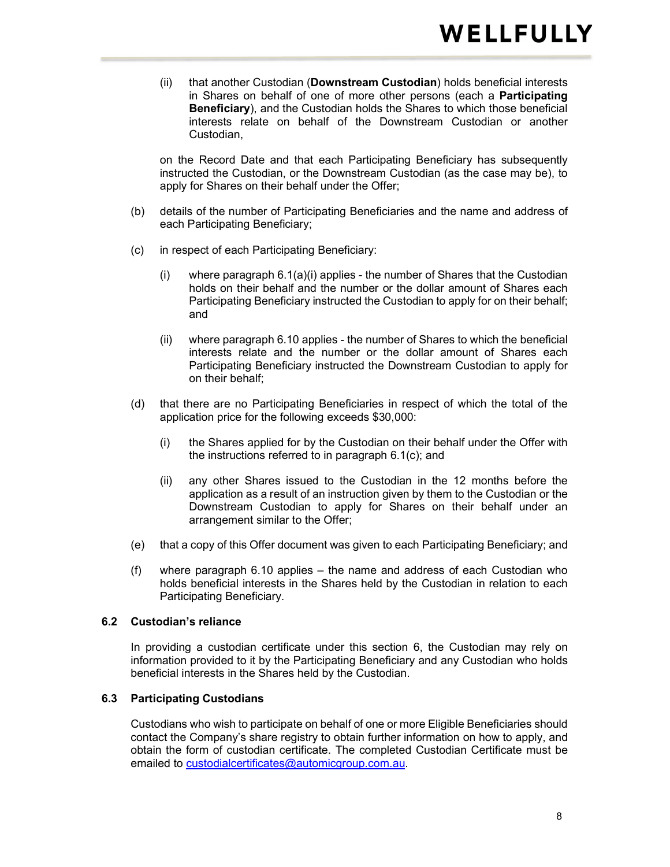(ii) that another Custodian (Downstream Custodian) holds beneficial interests in Shares on behalf of one of more other persons (each a Participating Beneficiary), and the Custodian holds the Shares to which those beneficial interests relate on behalf of the Downstream Custodian or another Custodian,

on the Record Date and that each Participating Beneficiary has subsequently instructed the Custodian, or the Downstream Custodian (as the case may be), to apply for Shares on their behalf under the Offer;

- (b) details of the number of Participating Beneficiaries and the name and address of each Participating Beneficiary;
- (c) in respect of each Participating Beneficiary:
	- (i) where paragraph 6.1(a)(i) applies the number of Shares that the Custodian holds on their behalf and the number or the dollar amount of Shares each Participating Beneficiary instructed the Custodian to apply for on their behalf; and
	- (ii) where paragraph 6.10 applies the number of Shares to which the beneficial interests relate and the number or the dollar amount of Shares each Participating Beneficiary instructed the Downstream Custodian to apply for on their behalf;
- (d) that there are no Participating Beneficiaries in respect of which the total of the application price for the following exceeds \$30,000:
	- (i) the Shares applied for by the Custodian on their behalf under the Offer with the instructions referred to in paragraph 6.1(c); and
	- (ii) any other Shares issued to the Custodian in the 12 months before the application as a result of an instruction given by them to the Custodian or the Downstream Custodian to apply for Shares on their behalf under an arrangement similar to the Offer;
- (e) that a copy of this Offer document was given to each Participating Beneficiary; and
- (f) where paragraph 6.10 applies the name and address of each Custodian who holds beneficial interests in the Shares held by the Custodian in relation to each Participating Beneficiary.

#### 6.2 Custodian's reliance

In providing a custodian certificate under this section 6, the Custodian may rely on information provided to it by the Participating Beneficiary and any Custodian who holds beneficial interests in the Shares held by the Custodian.

#### 6.3 Participating Custodians

Custodians who wish to participate on behalf of one or more Eligible Beneficiaries should contact the Company's share registry to obtain further information on how to apply, and obtain the form of custodian certificate. The completed Custodian Certificate must be emailed to custodialcertificates@automicgroup.com.au.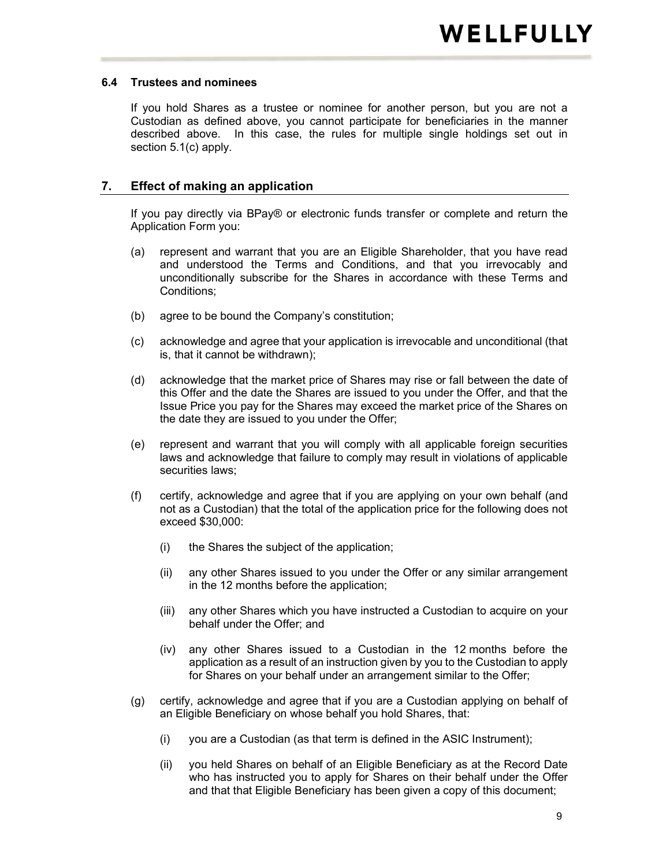#### 6.4 Trustees and nominees

If you hold Shares as a trustee or nominee for another person, but you are not a Custodian as defined above, you cannot participate for beneficiaries in the manner described above. In this case, the rules for multiple single holdings set out in section 5.1(c) apply.

#### 7. Effect of making an application

If you pay directly via BPay® or electronic funds transfer or complete and return the Application Form you:

- (a) represent and warrant that you are an Eligible Shareholder, that you have read and understood the Terms and Conditions, and that you irrevocably and unconditionally subscribe for the Shares in accordance with these Terms and Conditions;
- (b) agree to be bound the Company's constitution;
- (c) acknowledge and agree that your application is irrevocable and unconditional (that is, that it cannot be withdrawn);
- (d) acknowledge that the market price of Shares may rise or fall between the date of this Offer and the date the Shares are issued to you under the Offer, and that the Issue Price you pay for the Shares may exceed the market price of the Shares on the date they are issued to you under the Offer;
- (e) represent and warrant that you will comply with all applicable foreign securities laws and acknowledge that failure to comply may result in violations of applicable securities laws;
- (f) certify, acknowledge and agree that if you are applying on your own behalf (and not as a Custodian) that the total of the application price for the following does not exceed \$30,000:
	- (i) the Shares the subject of the application;
	- (ii) any other Shares issued to you under the Offer or any similar arrangement in the 12 months before the application;
	- (iii) any other Shares which you have instructed a Custodian to acquire on your behalf under the Offer; and
	- (iv) any other Shares issued to a Custodian in the 12 months before the application as a result of an instruction given by you to the Custodian to apply for Shares on your behalf under an arrangement similar to the Offer;
- (g) certify, acknowledge and agree that if you are a Custodian applying on behalf of an Eligible Beneficiary on whose behalf you hold Shares, that:
	- (i) you are a Custodian (as that term is defined in the ASIC Instrument);
	- (ii) you held Shares on behalf of an Eligible Beneficiary as at the Record Date who has instructed you to apply for Shares on their behalf under the Offer and that that Eligible Beneficiary has been given a copy of this document;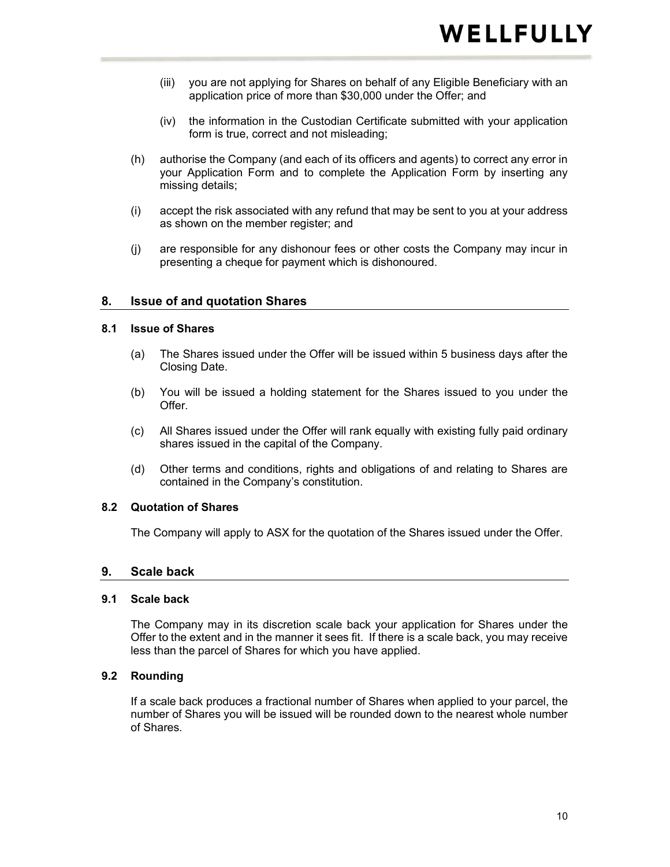- (iii) you are not applying for Shares on behalf of any Eligible Beneficiary with an application price of more than \$30,000 under the Offer; and
- (iv) the information in the Custodian Certificate submitted with your application form is true, correct and not misleading;
- (h) authorise the Company (and each of its officers and agents) to correct any error in your Application Form and to complete the Application Form by inserting any missing details;
- (i) accept the risk associated with any refund that may be sent to you at your address as shown on the member register; and
- (j) are responsible for any dishonour fees or other costs the Company may incur in presenting a cheque for payment which is dishonoured.

#### 8. Issue of and quotation Shares

#### 8.1 Issue of Shares

- (a) The Shares issued under the Offer will be issued within 5 business days after the Closing Date.
- (b) You will be issued a holding statement for the Shares issued to you under the Offer.
- (c) All Shares issued under the Offer will rank equally with existing fully paid ordinary shares issued in the capital of the Company.
- (d) Other terms and conditions, rights and obligations of and relating to Shares are contained in the Company's constitution.

#### 8.2 Quotation of Shares

The Company will apply to ASX for the quotation of the Shares issued under the Offer.

#### 9. Scale back

#### 9.1 Scale back

The Company may in its discretion scale back your application for Shares under the Offer to the extent and in the manner it sees fit. If there is a scale back, you may receive less than the parcel of Shares for which you have applied.

#### 9.2 Rounding

If a scale back produces a fractional number of Shares when applied to your parcel, the number of Shares you will be issued will be rounded down to the nearest whole number of Shares.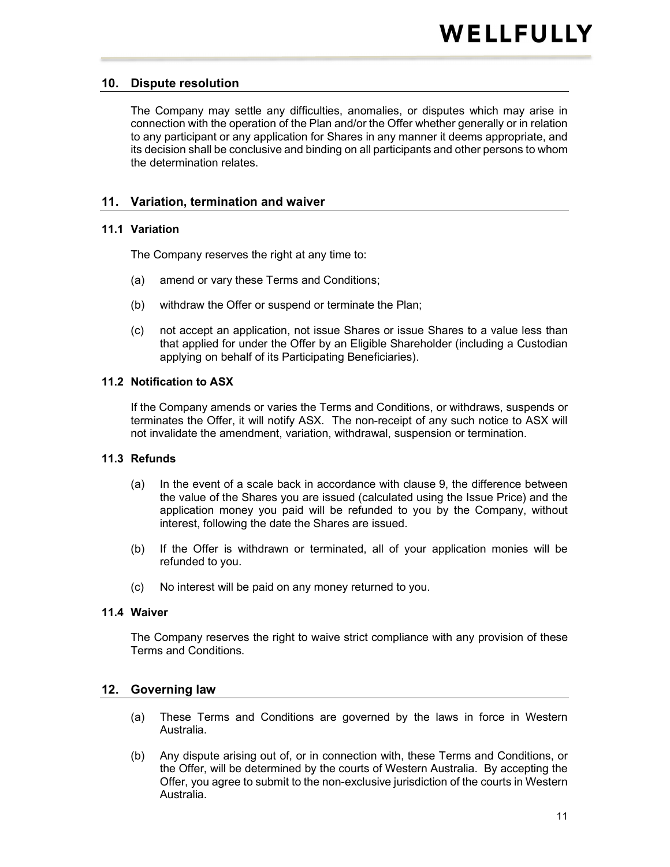### 10. Dispute resolution

The Company may settle any difficulties, anomalies, or disputes which may arise in connection with the operation of the Plan and/or the Offer whether generally or in relation to any participant or any application for Shares in any manner it deems appropriate, and its decision shall be conclusive and binding on all participants and other persons to whom the determination relates.

#### 11. Variation, termination and waiver

#### 11.1 Variation

The Company reserves the right at any time to:

- (a) amend or vary these Terms and Conditions;
- (b) withdraw the Offer or suspend or terminate the Plan;
- (c) not accept an application, not issue Shares or issue Shares to a value less than that applied for under the Offer by an Eligible Shareholder (including a Custodian applying on behalf of its Participating Beneficiaries).

#### 11.2 Notification to ASX

If the Company amends or varies the Terms and Conditions, or withdraws, suspends or terminates the Offer, it will notify ASX. The non-receipt of any such notice to ASX will not invalidate the amendment, variation, withdrawal, suspension or termination.

#### 11.3 Refunds

- (a) In the event of a scale back in accordance with clause 9, the difference between the value of the Shares you are issued (calculated using the Issue Price) and the application money you paid will be refunded to you by the Company, without interest, following the date the Shares are issued.
- (b) If the Offer is withdrawn or terminated, all of your application monies will be refunded to you.
- (c) No interest will be paid on any money returned to you.

#### 11.4 Waiver

The Company reserves the right to waive strict compliance with any provision of these Terms and Conditions.

#### 12. Governing law

- (a) These Terms and Conditions are governed by the laws in force in Western Australia.
- (b) Any dispute arising out of, or in connection with, these Terms and Conditions, or the Offer, will be determined by the courts of Western Australia. By accepting the Offer, you agree to submit to the non-exclusive jurisdiction of the courts in Western Australia.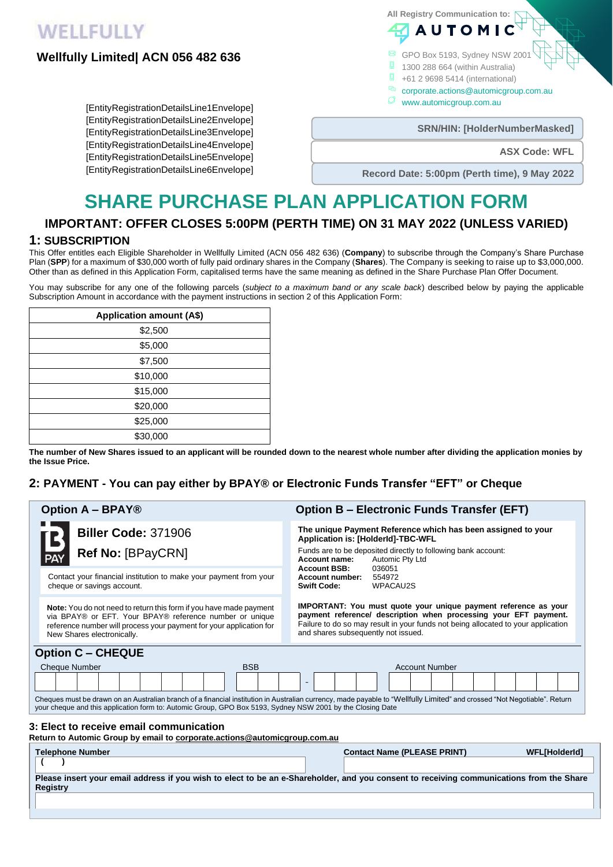# **WELLFULLY**

## **Wellfully Limited| ACN 056 482 636**

[EntityRegistrationDetailsLine1Envelope] [EntityRegistrationDetailsLine2Envelope] [EntityRegistrationDetailsLine3Envelope] [EntityRegistrationDetailsLine4Envelope] [EntityRegistrationDetailsLine5Envelope] [EntityRegistrationDetailsLine6Envelope] **All Registry Communication to: AUTOM** 

- GPO Box 5193, Sydney NSW 2001
- $\Box$
- n +61 2 9698 5414 (international)
- corporate.actions@automicgroup.com.au
	- Ø www.automicgroup.com.au

**SRN/HIN: [HolderNumberMasked]** 

**ASX Code: WFL**

**Record Date: 5:00pm (Perth time), 9 May 2022**

# **SHARE PURCHASE PLAN APPLICATION FORM**

# **IMPORTANT: OFFER CLOSES 5:00PM (PERTH TIME) ON 31 MAY 2022 (UNLESS VARIED)**

# **1: SUBSCRIPTION**

This Offer entitles each Eligible Shareholder in Wellfully Limited (ACN 056 482 636) (**Company**) to subscribe through the Company's Share Purchase Plan (**SPP**) for a maximum of \$30,000 worth of fully paid ordinary shares in the Company (**Shares**). The Company is seeking to raise up to \$3,000,000. Other than as defined in this Application Form, capitalised terms have the same meaning as defined in the Share Purchase Plan Offer Document.

You may subscribe for any one of the following parcels (*subject to a maximum band or any scale back*) described below by paying the applicable Subscription Amount in accordance with the payment instructions in section 2 of this Application Form:

| <b>Application amount (A\$)</b> |  |
|---------------------------------|--|
| \$2,500                         |  |
| \$5,000                         |  |
| \$7,500                         |  |
| \$10,000                        |  |
| \$15,000                        |  |
| \$20,000                        |  |
| \$25,000                        |  |
| \$30,000                        |  |

**The number of New Shares issued to an applicant will be rounded down to the nearest whole number after dividing the application monies by the Issue Price.**

## **2: PAYMENT - You can pay either by BPAY® or Electronic Funds Transfer "EFT" or Cheque**

| <b>Option A - BPAY®</b>                                                                                                                                                                                                                                                                 | <b>Option B - Electronic Funds Transfer (EFT)</b>                                                                                                                                                                                                                      |
|-----------------------------------------------------------------------------------------------------------------------------------------------------------------------------------------------------------------------------------------------------------------------------------------|------------------------------------------------------------------------------------------------------------------------------------------------------------------------------------------------------------------------------------------------------------------------|
| <b>Biller Code: 371906</b>                                                                                                                                                                                                                                                              | The unique Payment Reference which has been assigned to your<br>Application is: [HolderId]-TBC-WFL                                                                                                                                                                     |
| <b>Ref No: [BPayCRN]</b>                                                                                                                                                                                                                                                                | Funds are to be deposited directly to following bank account:<br>Automic Pty Ltd<br>Account name:<br><b>Account BSB:</b><br>036051<br>Account number:<br>554972<br>WPACAU2S<br><b>Swift Code:</b>                                                                      |
| Contact your financial institution to make your payment from your<br>cheque or savings account.                                                                                                                                                                                         |                                                                                                                                                                                                                                                                        |
| <b>Note:</b> You do not need to return this form if you have made payment<br>via BPAY® or EFT. Your BPAY® reference number or unique<br>reference number will process your payment for your application for<br>New Shares electronically.                                               | <b>IMPORTANT:</b> You must quote your unique payment reference as your<br>payment reference/ description when processing your EFT payment.<br>Failure to do so may result in your funds not being allocated to your application<br>and shares subsequently not issued. |
| <b>Option C - CHEQUE</b>                                                                                                                                                                                                                                                                |                                                                                                                                                                                                                                                                        |
| <b>Cheque Number</b><br><b>BSB</b>                                                                                                                                                                                                                                                      | <b>Account Number</b>                                                                                                                                                                                                                                                  |
|                                                                                                                                                                                                                                                                                         | $\overline{\phantom{a}}$                                                                                                                                                                                                                                               |
| Cheques must be drawn on an Australian branch of a financial institution in Australian currency, made payable to "Wellfully Limited" and crossed "Not Negotiable". Return<br>your cheque and this application form to: Automic Group, GPO Box 5193, Sydney NSW 2001 by the Closing Date |                                                                                                                                                                                                                                                                        |
| 3: Elect to receive email communication<br>Return to Automic Group by email to corporate.actions@automicgroup.com.au                                                                                                                                                                    |                                                                                                                                                                                                                                                                        |
| <b>Telephone Number</b>                                                                                                                                                                                                                                                                 | <b>Contact Name (PLEASE PRINT)</b><br><b>WFL[HolderId]</b>                                                                                                                                                                                                             |
|                                                                                                                                                                                                                                                                                         |                                                                                                                                                                                                                                                                        |
| Please insert your email address if you wish to elect to be an e-Shareholder, and you consent to receiving communications from the Share<br><b>Registry</b>                                                                                                                             |                                                                                                                                                                                                                                                                        |
|                                                                                                                                                                                                                                                                                         |                                                                                                                                                                                                                                                                        |

## 1300 288 664 (within Australia)